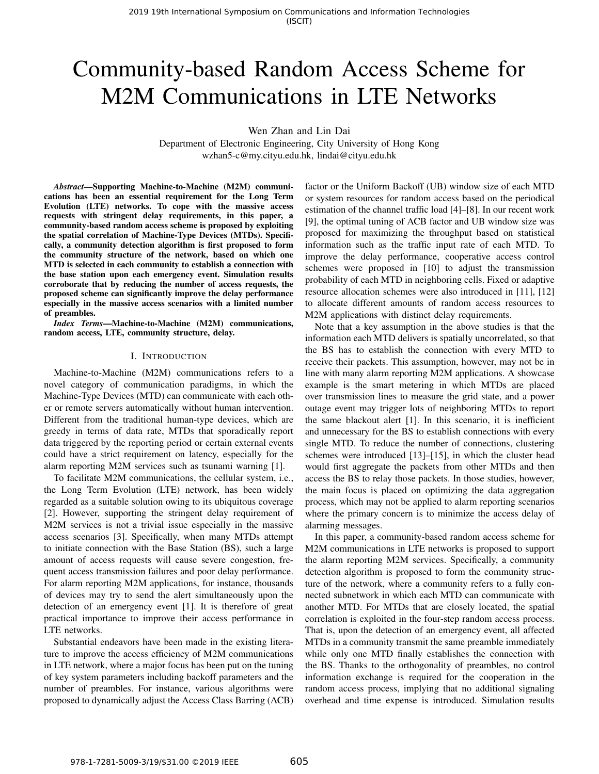# Community-based Random Access Scheme for M2M Communications in LTE Networks

Wen Zhan and Lin Dai

Department of Electronic Engineering, City University of Hong Kong wzhan5-c@my.cityu.edu.hk, lindai@cityu.edu.hk

*Abstract*—Supporting Machine-to-Machine (M2M) communications has been an essential requirement for the Long Term Evolution (LTE) networks. To cope with the massive access requests with stringent delay requirements, in this paper, a community-based random access scheme is proposed by exploiting the spatial correlation of Machine-Type Devices (MTDs). Specifically, a community detection algorithm is first proposed to form the community structure of the network, based on which one MTD is selected in each community to establish a connection with the base station upon each emergency event. Simulation results corroborate that by reducing the number of access requests, the proposed scheme can significantly improve the delay performance especially in the massive access scenarios with a limited number of preambles.

*Index Terms*—Machine-to-Machine (M2M) communications, random access, LTE, community structure, delay.

#### I. INTRODUCTION

Machine-to-Machine (M2M) communications refers to a novel category of communication paradigms, in which the Machine-Type Devices (MTD) can communicate with each other or remote servers automatically without human intervention. Different from the traditional human-type devices, which are greedy in terms of data rate, MTDs that sporadically report data triggered by the reporting period or certain external events could have a strict requirement on latency, especially for the alarm reporting M2M services such as tsunami warning [1].

To facilitate M2M communications, the cellular system, i.e., the Long Term Evolution (LTE) network, has been widely regarded as a suitable solution owing to its ubiquitous coverage [2]. However, supporting the stringent delay requirement of M2M services is not a trivial issue especially in the massive access scenarios [3]. Specifically, when many MTDs attempt to initiate connection with the Base Station (BS), such a large amount of access requests will cause severe congestion, frequent access transmission failures and poor delay performance. For alarm reporting M2M applications, for instance, thousands of devices may try to send the alert simultaneously upon the detection of an emergency event [1]. It is therefore of great practical importance to improve their access performance in LTE networks.

Substantial endeavors have been made in the existing literature to improve the access efficiency of M2M communications in LTE network, where a major focus has been put on the tuning of key system parameters including backoff parameters and the number of preambles. For instance, various algorithms were proposed to dynamically adjust the Access Class Barring (ACB) factor or the Uniform Backoff (UB) window size of each MTD or system resources for random access based on the periodical estimation of the channel traffic load [4]–[8]. In our recent work [9], the optimal tuning of ACB factor and UB window size was proposed for maximizing the throughput based on statistical information such as the traffic input rate of each MTD. To improve the delay performance, cooperative access control schemes were proposed in [10] to adjust the transmission probability of each MTD in neighboring cells. Fixed or adaptive resource allocation schemes were also introduced in [11], [12] to allocate different amounts of random access resources to M2M applications with distinct delay requirements.

Note that a key assumption in the above studies is that the information each MTD delivers is spatially uncorrelated, so that the BS has to establish the connection with every MTD to receive their packets. This assumption, however, may not be in line with many alarm reporting M2M applications. A showcase example is the smart metering in which MTDs are placed over transmission lines to measure the grid state, and a power outage event may trigger lots of neighboring MTDs to report the same blackout alert [1]. In this scenario, it is inefficient and unnecessary for the BS to establish connections with every single MTD. To reduce the number of connections, clustering schemes were introduced [13]–[15], in which the cluster head would first aggregate the packets from other MTDs and then access the BS to relay those packets. In those studies, however, the main focus is placed on optimizing the data aggregation process, which may not be applied to alarm reporting scenarios where the primary concern is to minimize the access delay of alarming messages.

In this paper, a community-based random access scheme for M2M communications in LTE networks is proposed to support the alarm reporting M2M services. Specifically, a community detection algorithm is proposed to form the community structure of the network, where a community refers to a fully connected subnetwork in which each MTD can communicate with another MTD. For MTDs that are closely located, the spatial correlation is exploited in the four-step random access process. That is, upon the detection of an emergency event, all affected MTDs in a community transmit the same preamble immediately while only one MTD finally establishes the connection with the BS. Thanks to the orthogonality of preambles, no control information exchange is required for the cooperation in the random access process, implying that no additional signaling overhead and time expense is introduced. Simulation results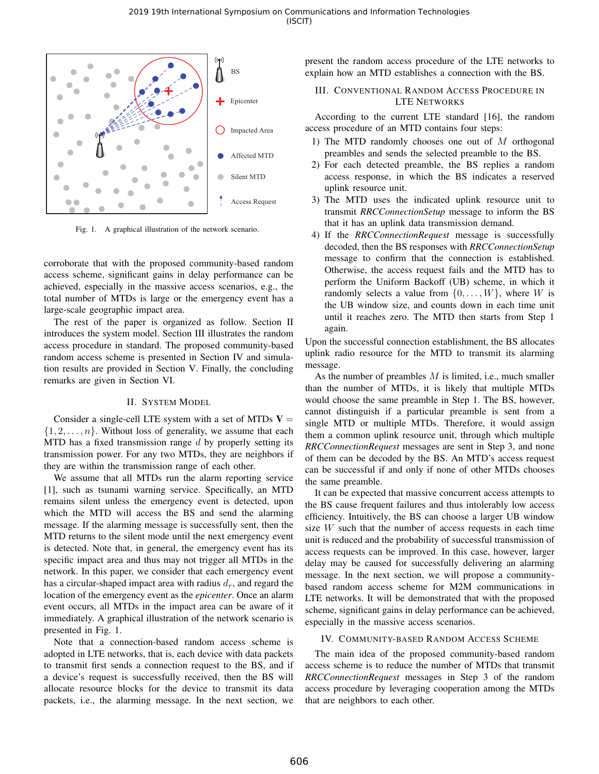

Fig. 1. A graphical illustration of the network scenario.

corroborate that with the proposed community-based random access scheme, significant gains in delay performance can be achieved, especially in the massive access scenarios, e.g., the total number of MTDs is large or the emergency event has a large-scale geographic impact area.

The rest of the paper is organized as follow. Section II introduces the system model. Section III illustrates the random access procedure in standard. The proposed community-based random access scheme is presented in Section IV and simulation results are provided in Section V. Finally, the concluding remarks are given in Section VI.

## II. SYSTEM MODEL

Consider a single-cell LTE system with a set of MTDs  $V =$  $\{1, 2, \ldots, n\}$ . Without loss of generality, we assume that each MTD has a fixed transmission range  $d$  by properly setting its transmission power. For any two MTDs, they are neighbors if they are within the transmission range of each other.

We assume that all MTDs run the alarm reporting service [1], such as tsunami warning service. Specifically, an MTD remains silent unless the emergency event is detected, upon which the MTD will access the BS and send the alarming message. If the alarming message is successfully sent, then the MTD returns to the silent mode until the next emergency event is detected. Note that, in general, the emergency event has its specific impact area and thus may not trigger all MTDs in the network. In this paper, we consider that each emergency event has a circular-shaped impact area with radius  $d_r$ , and regard the location of the emergency event as the *epicenter*. Once an alarm event occurs, all MTDs in the impact area can be aware of it immediately. A graphical illustration of the network scenario is presented in Fig. 1.

Note that a connection-based random access scheme is adopted in LTE networks, that is, each device with data packets to transmit first sends a connection request to the BS, and if a device's request is successfully received, then the BS will allocate resource blocks for the device to transmit its data packets, i.e., the alarming message. In the next section, we

present the random access procedure of the LTE networks to explain how an MTD establishes a connection with the BS.

## III. CONVENTIONAL RANDOM ACCESS PROCEDURE IN LTE NETWORKS

According to the current LTE standard [16], the random access procedure of an MTD contains four steps:

- 1) The MTD randomly chooses one out of M orthogonal preambles and sends the selected preamble to the BS.
- 2) For each detected preamble, the BS replies a random access response, in which the BS indicates a reserved uplink resource unit.
- 3) The MTD uses the indicated uplink resource unit to transmit *RRCConnectionSetup* message to inform the BS that it has an uplink data transmission demand.
- 4) If the *RRCConnectionRequest* message is successfully decoded, then the BS responses with *RRCConnectionSetup* message to confirm that the connection is established. Otherwise, the access request fails and the MTD has to perform the Uniform Backoff (UB) scheme, in which it randomly selects a value from  $\{0, \ldots, W\}$ , where W is the UB window size, and counts down in each time unit until it reaches zero. The MTD then starts from Step 1 again.

Upon the successful connection establishment, the BS allocates uplink radio resource for the MTD to transmit its alarming message.

As the number of preambles  $M$  is limited, i.e., much smaller than the number of MTDs, it is likely that multiple MTDs would choose the same preamble in Step 1. The BS, however, cannot distinguish if a particular preamble is sent from a single MTD or multiple MTDs. Therefore, it would assign them a common uplink resource unit, through which multiple *RRCConnectionRequest* messages are sent in Step 3, and none of them can be decoded by the BS. An MTD's access request can be successful if and only if none of other MTDs chooses the same preamble.

It can be expected that massive concurrent access attempts to the BS cause frequent failures and thus intolerably low access efficiency. Intuitively, the BS can choose a larger UB window size  $W$  such that the number of access requests in each time unit is reduced and the probability of successful transmission of access requests can be improved. In this case, however, larger delay may be caused for successfully delivering an alarming message. In the next section, we will propose a communitybased random access scheme for M2M communications in LTE networks. It will be demonstrated that with the proposed scheme, significant gains in delay performance can be achieved, especially in the massive access scenarios.

## IV. COMMUNITY-BASED RANDOM ACCESS SCHEME

The main idea of the proposed community-based random access scheme is to reduce the number of MTDs that transmit *RRCConnectionRequest* messages in Step 3 of the random access procedure by leveraging cooperation among the MTDs that are neighbors to each other.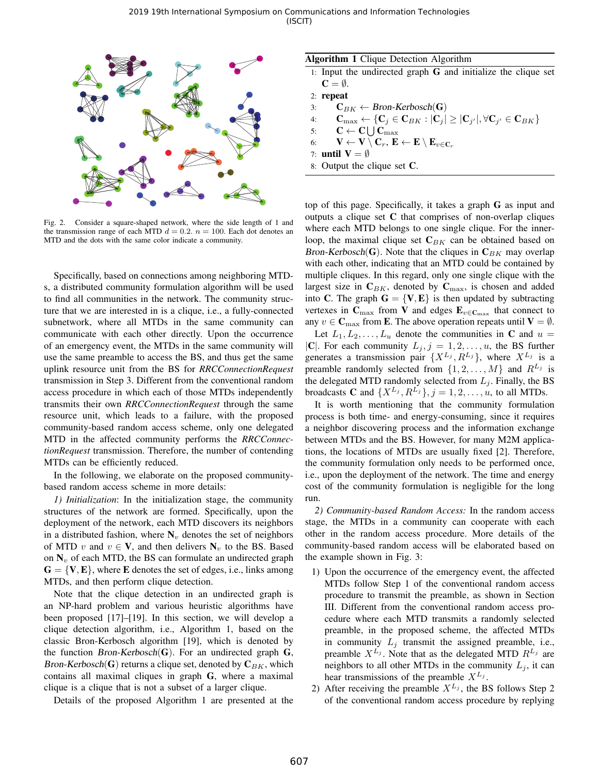

Fig. 2. Consider a square-shaped network, where the side length of 1 and the transmission range of each MTD  $d = 0.2$ .  $n = 100$ . Each dot denotes an MTD and the dots with the same color indicate a community.

Specifically, based on connections among neighboring MTDs, a distributed community formulation algorithm will be used to find all communities in the network. The community structure that we are interested in is a clique, i.e., a fully-connected subnetwork, where all MTDs in the same community can communicate with each other directly. Upon the occurrence of an emergency event, the MTDs in the same community will use the same preamble to access the BS, and thus get the same uplink resource unit from the BS for *RRCConnectionRequest* transmission in Step 3. Different from the conventional random access procedure in which each of those MTDs independently transmits their own *RRCConnectionRequest* through the same resource unit, which leads to a failure, with the proposed community-based random access scheme, only one delegated MTD in the affected community performs the *RRCConnectionRequest* transmission. Therefore, the number of contending MTDs can be efficiently reduced.

In the following, we elaborate on the proposed communitybased random access scheme in more details:

*1) Initialization*: In the initialization stage, the community structures of the network are formed. Specifically, upon the deployment of the network, each MTD discovers its neighbors in a distributed fashion, where  $N_v$  denotes the set of neighbors of MTD v and  $v \in V$ , and then delivers  $N_v$  to the BS. Based on  $N_v$  of each MTD, the BS can formulate an undirected graph  $G = \{V, E\}$ , where E denotes the set of edges, i.e., links among MTDs, and then perform clique detection.

Note that the clique detection in an undirected graph is an NP-hard problem and various heuristic algorithms have been proposed [17]–[19]. In this section, we will develop a clique detection algorithm, i.e., Algorithm 1, based on the classic Bron-Kerbosch algorithm [19], which is denoted by the function Bron-Kerbosch(G). For an undirected graph  $G$ , Bron-Kerbosch(G) returns a clique set, denoted by  $C_{BK}$ , which contains all maximal cliques in graph G, where a maximal clique is a clique that is not a subset of a larger clique.

Details of the proposed Algorithm 1 are presented at the

| Algorithm 1 Clique Detection Algorithm |  |  |
|----------------------------------------|--|--|
|                                        |  |  |

- 1: Input the undirected graph G and initialize the clique set  $\mathbf{C} = \emptyset$ .
- 2: repeat
- 3:  $\mathbf{C}_{BK} \leftarrow \text{ Bron-Kerbosch}(\mathbf{G})$
- 4:  $\mathbf{C}_{\text{max}} \leftarrow \{\mathbf{C}_j \in \mathbf{C}_{BK}: |\mathbf{C}_j| \geq |\mathbf{C}_{j'}|, \forall \mathbf{C}_{j'} \in \mathbf{C}_{BK}\}$
- 5:  $\mathbf{C} \leftarrow \mathbf{C} \bigcup \mathbf{C}_{\text{max}}$
- 6:  $\mathbf{V} \leftarrow \mathbf{V} \setminus \mathbf{C}_r, \mathbf{E} \leftarrow \mathbf{E} \setminus \mathbf{E}_{v \in \mathbf{C}_r}$
- 7: until  $V = \emptyset$
- 8: Output the clique set C.

top of this page. Specifically, it takes a graph G as input and outputs a clique set C that comprises of non-overlap cliques where each MTD belongs to one single clique. For the innerloop, the maximal clique set  $C_{BK}$  can be obtained based on Bron-Kerbosch(G). Note that the cliques in  $\mathbf{C}_{BK}$  may overlap with each other, indicating that an MTD could be contained by multiple cliques. In this regard, only one single clique with the largest size in  $C_{BK}$ , denoted by  $C_{\text{max}}$ , is chosen and added into C. The graph  $G = \{V, E\}$  is then updated by subtracting vertexes in  $C_{\text{max}}$  from V and edges  $E_{v \in C_{\text{max}}}$  that connect to any  $v \in \mathbf{C}_{\text{max}}$  from **E**. The above operation repeats until  $\mathbf{V} = \emptyset$ .

Let  $L_1, L_2, \ldots, L_u$  denote the communities in C and  $u =$ |C|. For each community  $L_j$ ,  $j = 1, 2, \dots, u$ , the BS further generates a transmission pair  $\{X^{L_j}, R^{L_j}\}\$ , where  $X^{L_j}$  is a preamble randomly selected from  $\{1, 2, ..., M\}$  and  $R^{L_j}$  is the delegated MTD randomly selected from  $L_i$ . Finally, the BS broadcasts **C** and  $\{X^{L_j}, R^{L_j}\}, j = 1, 2, \ldots, u$ , to all MTDs.

It is worth mentioning that the community formulation process is both time- and energy-consuming, since it requires a neighbor discovering process and the information exchange between MTDs and the BS. However, for many M2M applications, the locations of MTDs are usually fixed [2]. Therefore, the community formulation only needs to be performed once, i.e., upon the deployment of the network. The time and energy cost of the community formulation is negligible for the long run.

*2) Community-based Random Access:* In the random access stage, the MTDs in a community can cooperate with each other in the random access procedure. More details of the community-based random access will be elaborated based on the example shown in Fig. 3:

- 1) Upon the occurrence of the emergency event, the affected MTDs follow Step 1 of the conventional random access procedure to transmit the preamble, as shown in Section III. Different from the conventional random access procedure where each MTD transmits a randomly selected preamble, in the proposed scheme, the affected MTDs in community  $L_i$  transmit the assigned preamble, i.e., preamble  $X^{L_j}$ . Note that as the delegated MTD  $R^{L_j}$  are neighbors to all other MTDs in the community  $L_i$ , it can hear transmissions of the preamble  $X^{L_j}$ .
- 2) After receiving the preamble  $X^{L_j}$ , the BS follows Step 2 of the conventional random access procedure by replying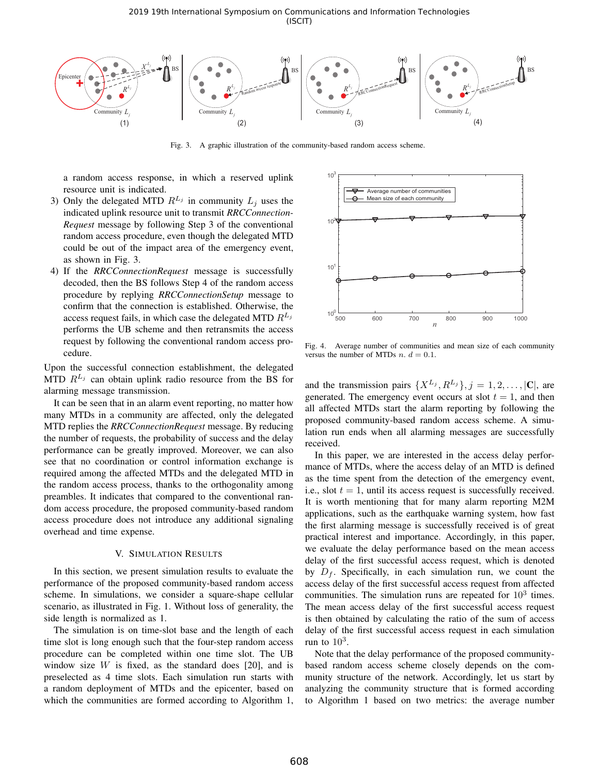2019 19th International Symposium on Communications and Information Technologies (ISCIT)



Fig. 3. A graphic illustration of the community-based random access scheme.

a random access response, in which a reserved uplink resource unit is indicated.

- 3) Only the delegated MTD  $R^{L_j}$  in community  $L_j$  uses the indicated uplink resource unit to transmit *RRCConnection-Request* message by following Step 3 of the conventional random access procedure, even though the delegated MTD could be out of the impact area of the emergency event, as shown in Fig. 3.
- 4) If the *RRCConnectionRequest* message is successfully decoded, then the BS follows Step 4 of the random access procedure by replying *RRCConnectionSetup* message to confirm that the connection is established. Otherwise, the access request fails, in which case the delegated MTD  $R^{L_j}$ performs the UB scheme and then retransmits the access request by following the conventional random access procedure.

Upon the successful connection establishment, the delegated MTD  $R^{L_j}$  can obtain uplink radio resource from the BS for alarming message transmission.

It can be seen that in an alarm event reporting, no matter how many MTDs in a community are affected, only the delegated MTD replies the *RRCConnectionRequest* message. By reducing the number of requests, the probability of success and the delay performance can be greatly improved. Moreover, we can also see that no coordination or control information exchange is required among the affected MTDs and the delegated MTD in the random access process, thanks to the orthogonality among preambles. It indicates that compared to the conventional random access procedure, the proposed community-based random access procedure does not introduce any additional signaling overhead and time expense.

## V. SIMULATION RESULTS

In this section, we present simulation results to evaluate the performance of the proposed community-based random access scheme. In simulations, we consider a square-shape cellular scenario, as illustrated in Fig. 1. Without loss of generality, the side length is normalized as 1.

The simulation is on time-slot base and the length of each time slot is long enough such that the four-step random access procedure can be completed within one time slot. The UB window size  $W$  is fixed, as the standard does [20], and is preselected as 4 time slots. Each simulation run starts with a random deployment of MTDs and the epicenter, based on which the communities are formed according to Algorithm 1,



Fig. 4. Average number of communities and mean size of each community versus the number of MTDs  $n. d = 0.1$ .

and the transmission pairs  $\{X^{L_j}, R^{L_j}\}, j = 1, 2, \ldots, |\mathbf{C}|$ , are generated. The emergency event occurs at slot  $t = 1$ , and then all affected MTDs start the alarm reporting by following the proposed community-based random access scheme. A simulation run ends when all alarming messages are successfully received.

In this paper, we are interested in the access delay performance of MTDs, where the access delay of an MTD is defined as the time spent from the detection of the emergency event, i.e., slot  $t = 1$ , until its access request is successfully received. It is worth mentioning that for many alarm reporting M2M applications, such as the earthquake warning system, how fast the first alarming message is successfully received is of great practical interest and importance. Accordingly, in this paper, we evaluate the delay performance based on the mean access delay of the first successful access request, which is denoted by  $D_f$ . Specifically, in each simulation run, we count the access delay of the first successful access request from affected communities. The simulation runs are repeated for  $10^3$  times. The mean access delay of the first successful access request is then obtained by calculating the ratio of the sum of access delay of the first successful access request in each simulation run to  $10^3$ .

Note that the delay performance of the proposed communitybased random access scheme closely depends on the community structure of the network. Accordingly, let us start by analyzing the community structure that is formed according to Algorithm 1 based on two metrics: the average number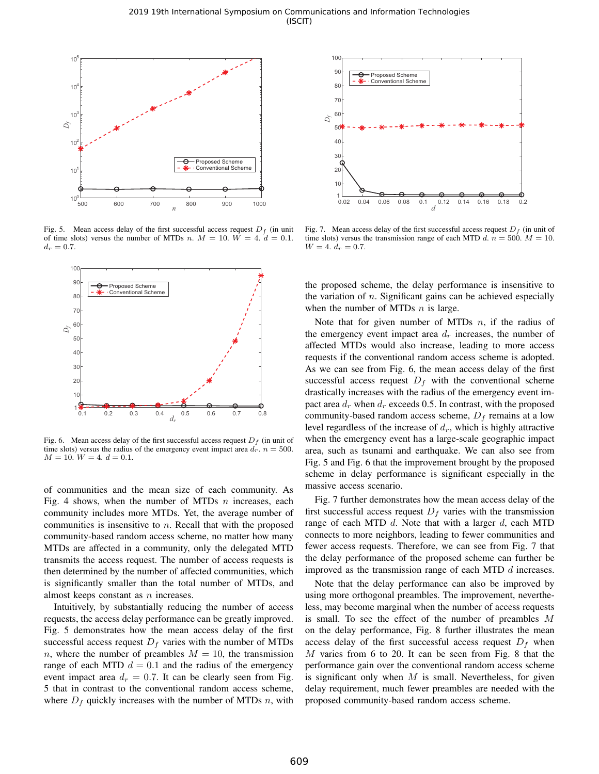

Fig. 5. Mean access delay of the first successful access request  $D_f$  (in unit of time slots) versus the number of MTDs n.  $M = 10$ .  $W = 4$ .  $d = 0.1$ .  $d_r = 0.7$ .



Fig. 6. Mean access delay of the first successful access request  $D_f$  (in unit of time slots) versus the radius of the emergency event impact area  $d_r$ .  $n = 500$ .  $M = 10$ .  $W = 4$ .  $d = 0.1$ .

of communities and the mean size of each community. As Fig. 4 shows, when the number of MTDs  $n$  increases, each community includes more MTDs. Yet, the average number of communities is insensitive to  $n$ . Recall that with the proposed community-based random access scheme, no matter how many MTDs are affected in a community, only the delegated MTD transmits the access request. The number of access requests is then determined by the number of affected communities, which is significantly smaller than the total number of MTDs, and almost keeps constant as  $n$  increases.

Intuitively, by substantially reducing the number of access requests, the access delay performance can be greatly improved. Fig. 5 demonstrates how the mean access delay of the first successful access request  $D_f$  varies with the number of MTDs n, where the number of preambles  $M = 10$ , the transmission range of each MTD  $d = 0.1$  and the radius of the emergency event impact area  $d_r = 0.7$ . It can be clearly seen from Fig. 5 that in contrast to the conventional random access scheme, where  $D_f$  quickly increases with the number of MTDs n, with



Fig. 7. Mean access delay of the first successful access request  $D_f$  (in unit of time slots) versus the transmission range of each MTD d.  $n = 500$ .  $M = 10$ .  $W = 4. d_r = 0.7.$ 

the proposed scheme, the delay performance is insensitive to the variation of  $n$ . Significant gains can be achieved especially when the number of MTDs  $n$  is large.

Note that for given number of MTDs  $n$ , if the radius of the emergency event impact area  $d_r$  increases, the number of affected MTDs would also increase, leading to more access requests if the conventional random access scheme is adopted. As we can see from Fig. 6, the mean access delay of the first successful access request  $D_f$  with the conventional scheme drastically increases with the radius of the emergency event impact area  $d_r$  when  $d_r$  exceeds 0.5. In contrast, with the proposed community-based random access scheme,  $D_f$  remains at a low level regardless of the increase of  $d_r$ , which is highly attractive when the emergency event has a large-scale geographic impact area, such as tsunami and earthquake. We can also see from Fig. 5 and Fig. 6 that the improvement brought by the proposed scheme in delay performance is significant especially in the massive access scenario.

Fig. 7 further demonstrates how the mean access delay of the first successful access request  $D_f$  varies with the transmission range of each MTD  $d$ . Note that with a larger  $d$ , each MTD connects to more neighbors, leading to fewer communities and fewer access requests. Therefore, we can see from Fig. 7 that the delay performance of the proposed scheme can further be improved as the transmission range of each MTD  $d$  increases.

Note that the delay performance can also be improved by using more orthogonal preambles. The improvement, nevertheless, may become marginal when the number of access requests is small. To see the effect of the number of preambles M on the delay performance, Fig. 8 further illustrates the mean access delay of the first successful access request  $D_f$  when M varies from 6 to 20. It can be seen from Fig. 8 that the performance gain over the conventional random access scheme is significant only when  $M$  is small. Nevertheless, for given delay requirement, much fewer preambles are needed with the proposed community-based random access scheme.